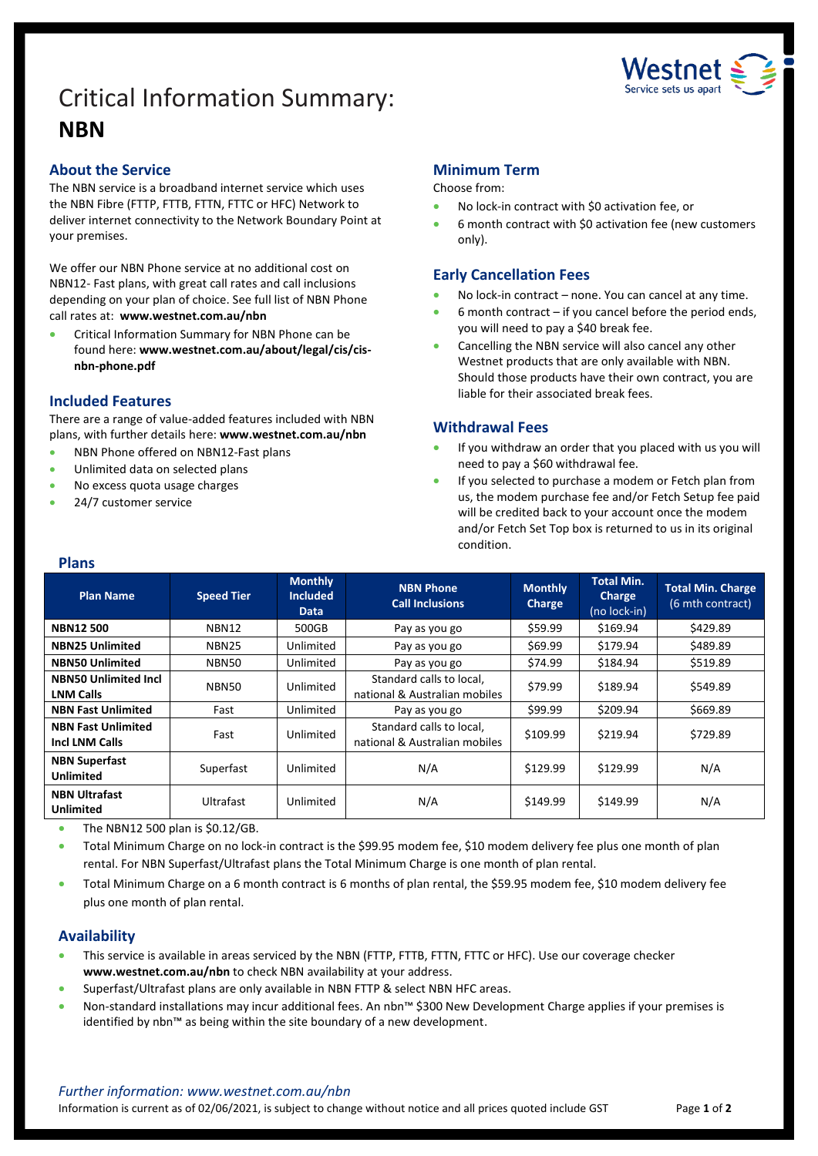# Critical Information Summary: **NBN**



## **About the Service**

The NBN service is a broadband internet service which uses the NBN Fibre (FTTP, FTTB, FTTN, FTTC or HFC) Network to deliver internet connectivity to the Network Boundary Point at your premises.

We offer our NBN Phone service at no additional cost on NBN12- Fast plans, with great call rates and call inclusions depending on your plan of choice. See full list of NBN Phone call rates at: **[www.westnet.com.au/nbn](http://www.westnet.com.au/nbn)**

• Critical Information Summary for NBN Phone can be found here: **www.westnet.com.au/about/legal/cis/cisnbn-phone.pdf**

## **Included Features**

There are a range of value-added features included with NBN plans, with further details here: **[www.westnet.com.au/nbn](http://www.westnet.com.au/nbn)**

- NBN Phone offered on NBN12-Fast plans
- Unlimited data on selected plans
- No excess quota usage charges
- 24/7 customer service

## **Minimum Term**

#### Choose from:

- No lock-in contract with \$0 activation fee, or
- 6 month contract with \$0 activation fee (new customers only).

## **Early Cancellation Fees**

- No lock-in contract none. You can cancel at any time.
- $6$  month contract if you cancel before the period ends, you will need to pay a \$40 break fee.
- Cancelling the NBN service will also cancel any other Westnet products that are only available with NBN. Should those products have their own contract, you are liable for their associated break fees.

## **Withdrawal Fees**

- If you withdraw an order that you placed with us you will need to pay a \$60 withdrawal fee.
- If you selected to purchase a modem or Fetch plan from us, the modem purchase fee and/or Fetch Setup fee paid will be credited back to your account once the modem and/or Fetch Set Top box is returned to us in its original condition.

#### **Plans**

| <b>Plan Name</b>                                   | <b>Speed Tier</b> | <b>Monthly</b><br><b>Included</b><br>Data | <b>NBN Phone</b><br><b>Call Inclusions</b>                | <b>Monthly</b><br>Charge | <b>Total Min.</b><br><b>Charge</b><br>(no lock-in) | <b>Total Min. Charge</b><br>(6 mth contract) |
|----------------------------------------------------|-------------------|-------------------------------------------|-----------------------------------------------------------|--------------------------|----------------------------------------------------|----------------------------------------------|
| <b>NBN12500</b>                                    | <b>NBN12</b>      | 500GB                                     | Pay as you go                                             | \$59.99                  | \$169.94                                           | \$429.89                                     |
| <b>NBN25 Unlimited</b>                             | NBN <sub>25</sub> | Unlimited                                 | Pay as you go                                             | \$69.99                  | \$179.94                                           | \$489.89                                     |
| <b>NBN50 Unlimited</b>                             | NBN50             | Unlimited                                 | Pay as you go                                             | \$74.99                  | \$184.94                                           | \$519.89                                     |
| <b>NBN50 Unlimited Incl</b><br><b>LNM Calls</b>    | <b>NBN50</b>      | Unlimited                                 | Standard calls to local,<br>national & Australian mobiles | \$79.99                  | \$189.94                                           | \$549.89                                     |
| <b>NBN Fast Unlimited</b>                          | Fast              | Unlimited                                 | Pay as you go                                             | \$99.99                  | \$209.94                                           | \$669.89                                     |
| <b>NBN Fast Unlimited</b><br><b>Incl LNM Calls</b> | Fast              | Unlimited                                 | Standard calls to local,<br>national & Australian mobiles | \$109.99                 | \$219.94                                           | \$729.89                                     |
| <b>NBN Superfast</b><br>Unlimited                  | Superfast         | Unlimited                                 | N/A                                                       | \$129.99                 | \$129.99                                           | N/A                                          |
| <b>NBN Ultrafast</b><br><b>Unlimited</b>           | Ultrafast         | Unlimited                                 | N/A                                                       | \$149.99                 | \$149.99                                           | N/A                                          |

• The NBN12 500 plan is \$0.12/GB.

• Total Minimum Charge on no lock-in contract is the \$99.95 modem fee, \$10 modem delivery fee plus one month of plan rental. For NBN Superfast/Ultrafast plans the Total Minimum Charge is one month of plan rental.

• Total Minimum Charge on a 6 month contract is 6 months of plan rental, the \$59.95 modem fee, \$10 modem delivery fee plus one month of plan rental.

## **Availability**

- This service is available in areas serviced by the NBN (FTTP, FTTB, FTTN, FTTC or HFC). Use ou[r coverage checker](https://www.westnet.com.au/internet-products/broadband/nbn/coverage/) **[www.westnet.com.au/nbn](http://www.westnet.com.au/nbn)** to check NBN availability at your address.
- Superfast/Ultrafast plans are only available in NBN FTTP & select NBN HFC areas.
- Non-standard installations may incur additional fees. An nbn™ \$300 New Development Charge applies if your premises is identified by nbn™ as being within the site boundary of a new development.

Information is current as of 02/06/2021, is subject to change without notice and all prices quoted include GST Page **1** of **2**